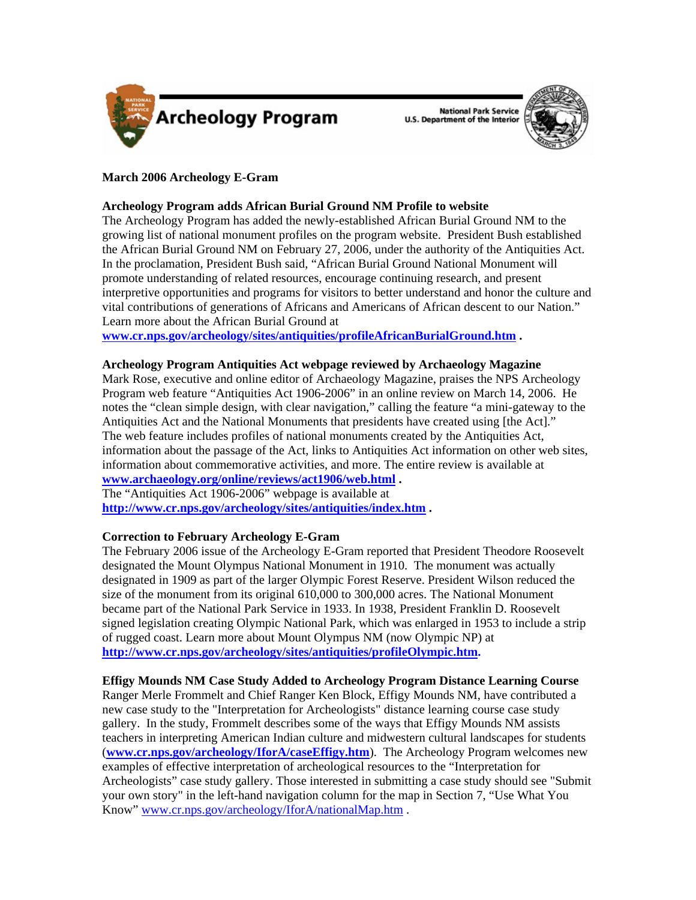

National Park Service<br>U.S. Department of the Interior



# **March 2006 Archeology E-Gram**

**Archeology Program adds African Burial Ground NM Profile to website** 

The Archeology Program has added the newly-established African Burial Ground NM to the growing list of national monument profiles on the program website. President Bush established the African Burial Ground NM on February 27, 2006, under the authority of the Antiquities Act. In the proclamation, President Bush said, "African Burial Ground National Monument will promote understanding of related resources, encourage continuing research, and present interpretive opportunities and programs for visitors to better understand and honor the culture and vital contributions of generations of Africans and Americans of African descent to our Nation." Learn more about the African Burial Ground at

**[www.cr.nps.gov/archeology/sites/antiquities/profileAfricanBurialGround.htm](http://www.cr.nps.gov/archeology/sites/antiquities/profileAfricanBurialGround.htm) .**

## **Archeology Program Antiquities Act webpage reviewed by Archaeology Magazine**

Mark Rose, executive and online editor of Archaeology Magazine, praises the NPS Archeology Program web feature "Antiquities Act 1906-2006" in an online review on March 14, 2006. He notes the "clean simple design, with clear navigation," calling the feature "a mini-gateway to the Antiquities Act and the National Monuments that presidents have created using [the Act]." The web feature includes profiles of national monuments created by the Antiquities Act, information about the passage of the Act, links to Antiquities Act information on other web sites, information about commemorative activities, and more. The entire review is available at **[www.archaeology.org/online/reviews/act1906/web.html](http://www.archaeology.org/online/reviews/act1906/web.html) .** 

The "Antiquities Act 1906-2006" webpage is available at **<http://www.cr.nps.gov/archeology/sites/antiquities/index.htm>.** 

# **Correction to February Archeology E-Gram**

The February 2006 issue of the Archeology E-Gram reported that President Theodore Roosevelt designated the Mount Olympus National Monument in 1910. The monument was actually designated in 1909 as part of the larger Olympic Forest Reserve. President Wilson reduced the size of the monument from its original 610,000 to 300,000 acres. The National Monument became part of the National Park Service in 1933. In 1938, President Franklin D. Roosevelt signed legislation creating Olympic National Park, which was enlarged in 1953 to include a strip of rugged coast. Learn more about Mount Olympus NM (now Olympic NP) at **[http://www.cr.nps.gov/archeology/sites/antiquities/profileOlympic.htm.](http://www.cr.nps.gov/archeology/sites/antiquities/profileOlympic.htm)**

## **Effigy Mounds NM Case Study Added to Archeology Program Distance Learning Course**

Ranger Merle Frommelt and Chief Ranger Ken Block, Effigy Mounds NM, have contributed a new case study to the "Interpretation for Archeologists" distance learning course case study gallery. In the study, Frommelt describes some of the ways that Effigy Mounds NM assists teachers in interpreting American Indian culture and midwestern cultural landscapes for students (**[www.cr.nps.gov/archeology/IforA/caseEffigy.htm](http://www.cr.nps.gov/archeology/IforA/caseEffigy.htm)**). The Archeology Program welcomes new examples of effective interpretation of archeological resources to the "Interpretation for Archeologists" case study gallery. Those interested in submitting a case study should see "Submit your own story" in the left-hand navigation column for the map in Section 7, "Use What You Know" [www.cr.nps.gov/archeology/IforA/nationalMap.htm](http://www.cr.nps.gov/archeology/IforA/nationalMap.htm) .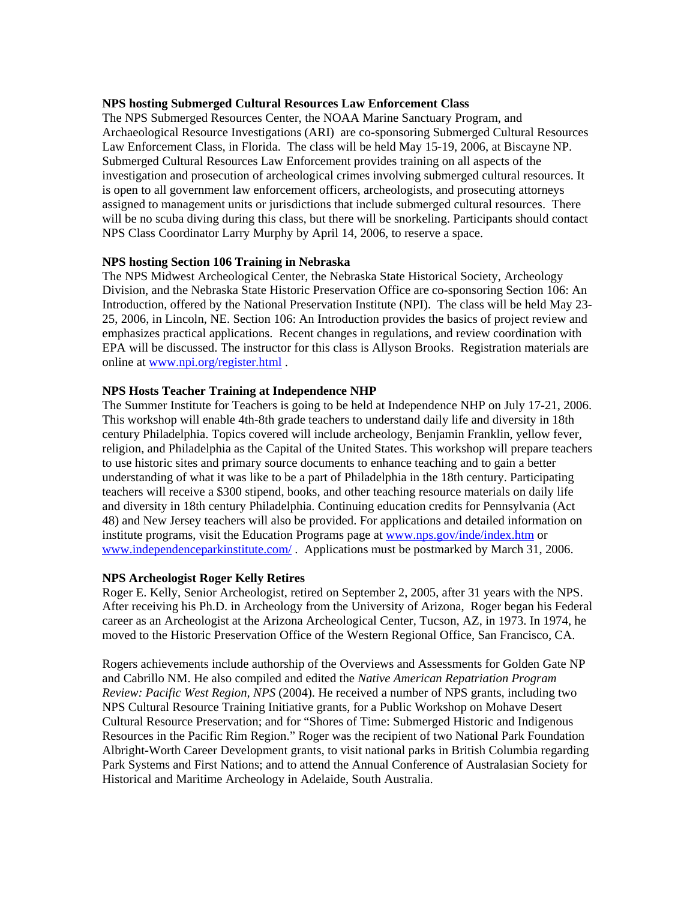### **NPS hosting Submerged Cultural Resources Law Enforcement Class**

The NPS Submerged Resources Center, the NOAA Marine Sanctuary Program, and Archaeological Resource Investigations (ARI) are co-sponsoring Submerged Cultural Resources Law Enforcement Class, in Florida. The class will be held May 15-19, 2006, at Biscayne NP. Submerged Cultural Resources Law Enforcement provides training on all aspects of the investigation and prosecution of archeological crimes involving submerged cultural resources. It is open to all government law enforcement officers, archeologists, and prosecuting attorneys assigned to management units or jurisdictions that include submerged cultural resources. There will be no scuba diving during this class, but there will be snorkeling. Participants should contact NPS Class Coordinator Larry Murphy by April 14, 2006, to reserve a space.

### **NPS hosting Section 106 Training in Nebraska**

The NPS Midwest Archeological Center, the Nebraska State Historical Society, Archeology Division, and the Nebraska State Historic Preservation Office are co-sponsoring Section 106: An Introduction, offered by the National Preservation Institute (NPI). The class will be held May 23- 25, 2006, in Lincoln, NE. Section 106: An Introduction provides the basics of project review and emphasizes practical applications. Recent changes in regulations, and review coordination with EPA will be discussed. The instructor for this class is Allyson Brooks. Registration materials are online at [www.npi.org/register.html](http://www.npi.org/register.html) .

#### **NPS Hosts Teacher Training at Independence NHP**

The Summer Institute for Teachers is going to be held at Independence NHP on July 17-21, 2006. This workshop will enable 4th-8th grade teachers to understand daily life and diversity in 18th century Philadelphia. Topics covered will include archeology, Benjamin Franklin, yellow fever, religion, and Philadelphia as the Capital of the United States. This workshop will prepare teachers to use historic sites and primary source documents to enhance teaching and to gain a better understanding of what it was like to be a part of Philadelphia in the 18th century. Participating teachers will receive a \$300 stipend, books, and other teaching resource materials on daily life and diversity in 18th century Philadelphia. Continuing education credits for Pennsylvania (Act 48) and New Jersey teachers will also be provided. For applications and detailed information on institute programs, visit the Education Programs page at [www.nps.gov/inde/index.htm](http://www.nps.gov/inde/index.htm) or [www.independenceparkinstitute.com/](http://www.independenceparkinstitute.com/) . Applications must be postmarked by March 31, 2006.

#### **NPS Archeologist Roger Kelly Retires**

Roger E. Kelly, Senior Archeologist, retired on September 2, 2005, after 31 years with the NPS. After receiving his Ph.D. in Archeology from the University of Arizona, Roger began his Federal career as an Archeologist at the Arizona Archeological Center, Tucson, AZ, in 1973. In 1974, he moved to the Historic Preservation Office of the Western Regional Office, San Francisco, CA.

Rogers achievements include authorship of the Overviews and Assessments for Golden Gate NP and Cabrillo NM. He also compiled and edited the *Native American Repatriation Program Review: Pacific West Region, NPS* (2004). He received a number of NPS grants, including two NPS Cultural Resource Training Initiative grants, for a Public Workshop on Mohave Desert Cultural Resource Preservation; and for "Shores of Time: Submerged Historic and Indigenous Resources in the Pacific Rim Region." Roger was the recipient of two National Park Foundation Albright-Worth Career Development grants, to visit national parks in British Columbia regarding Park Systems and First Nations; and to attend the Annual Conference of Australasian Society for Historical and Maritime Archeology in Adelaide, South Australia.